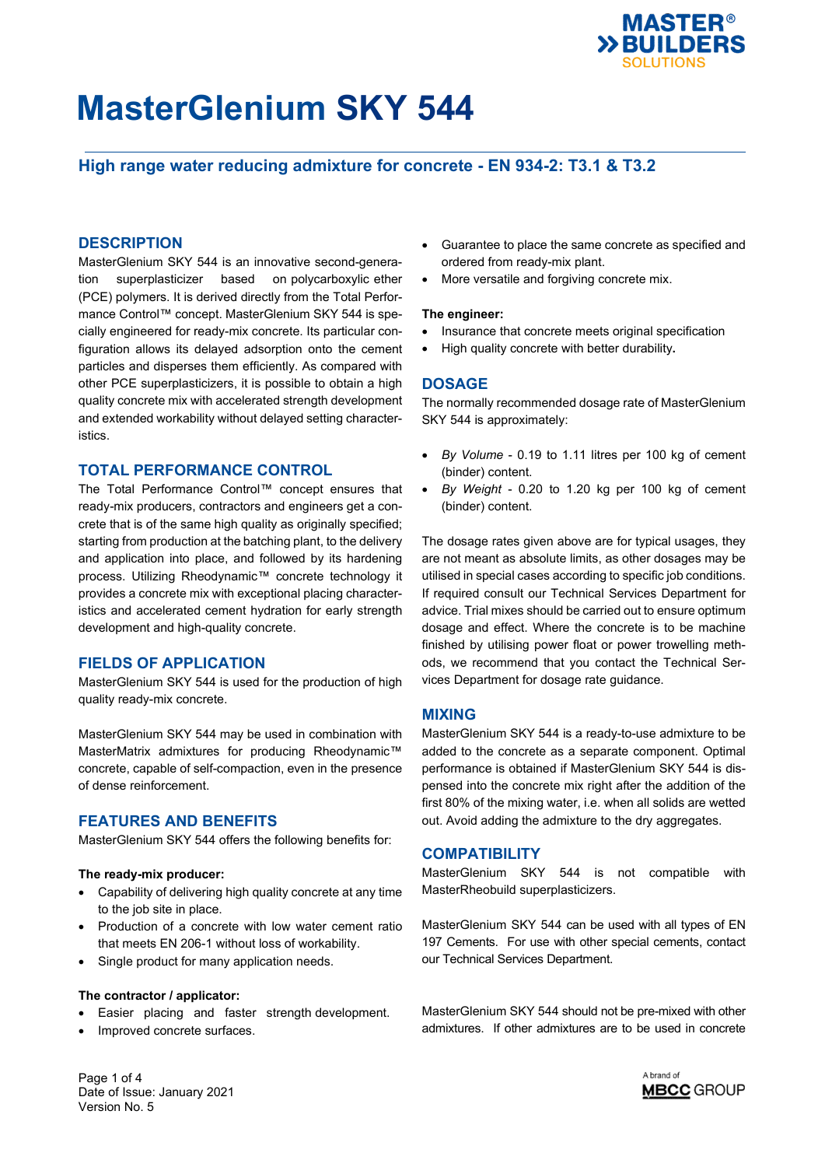

## **High range water reducing admixture for concrete - EN 934-2: T3.1 & T3.2**

### **DESCRIPTION**

MasterGlenium SKY 544 is an innovative second-generation superplasticizer based on polycarboxylic ether (PCE) polymers. It is derived directly from the Total Performance Control™ concept. MasterGlenium SKY 544 is specially engineered for ready-mix concrete. Its particular configuration allows its delayed adsorption onto the cement particles and disperses them efficiently. As compared with other PCE superplasticizers, it is possible to obtain a high quality concrete mix with accelerated strength development and extended workability without delayed setting characteristics.

### **TOTAL PERFORMANCE CONTROL**

The Total Performance Control™ concept ensures that ready-mix producers, contractors and engineers get a concrete that is of the same high quality as originally specified; starting from production at the batching plant, to the delivery and application into place, and followed by its hardening process. Utilizing Rheodynamic™ concrete technology it provides a concrete mix with exceptional placing characteristics and accelerated cement hydration for early strength development and high-quality concrete.

### **FIELDS OF APPLICATION**

MasterGlenium SKY 544 is used for the production of high quality ready-mix concrete.

MasterGlenium SKY 544 may be used in combination with MasterMatrix admixtures for producing Rheodynamic™ concrete, capable of self-compaction, even in the presence of dense reinforcement.

### **FEATURES AND BENEFITS**

MasterGlenium SKY 544 offers the following benefits for:

### **The ready-mix producer:**

- Capability of delivering high quality concrete at any time to the job site in place.
- Production of a concrete with low water cement ratio that meets EN 206-1 without loss of workability.
- Single product for many application needs.

### **The contractor / applicator:**

- Easier placing and faster strength development.
- Improved concrete surfaces.
- Guarantee to place the same concrete as specified and ordered from ready-mix plant.
- More versatile and forgiving concrete mix.

#### **The engineer:**

- Insurance that concrete meets original specification
- High quality concrete with better durability**.**

### **DOSAGE**

The normally recommended dosage rate of MasterGlenium SKY 544 is approximately:

- *By Volume* 0.19 to 1.11 litres per 100 kg of cement (binder) content.
- *By Weight* 0.20 to 1.20 kg per 100 kg of cement (binder) content.

The dosage rates given above are for typical usages, they are not meant as absolute limits, as other dosages may be utilised in special cases according to specific job conditions. If required consult our Technical Services Department for advice. Trial mixes should be carried out to ensure optimum dosage and effect. Where the concrete is to be machine finished by utilising power float or power trowelling methods, we recommend that you contact the Technical Services Department for dosage rate guidance.

### **MIXING**

MasterGlenium SKY 544 is a ready-to-use admixture to be added to the concrete as a separate component. Optimal performance is obtained if MasterGlenium SKY 544 is dispensed into the concrete mix right after the addition of the first 80% of the mixing water, i.e. when all solids are wetted out. Avoid adding the admixture to the dry aggregates.

### **COMPATIBILITY**

MasterGlenium SKY 544 is not compatible with MasterRheobuild superplasticizers.

MasterGlenium SKY 544 can be used with all types of EN 197 Cements. For use with other special cements, contact our Technical Services Department.

MasterGlenium SKY 544 should not be pre-mixed with other admixtures. If other admixtures are to be used in concrete

Page 1 of 4 Date of Issue: January 2021 Version No. 5

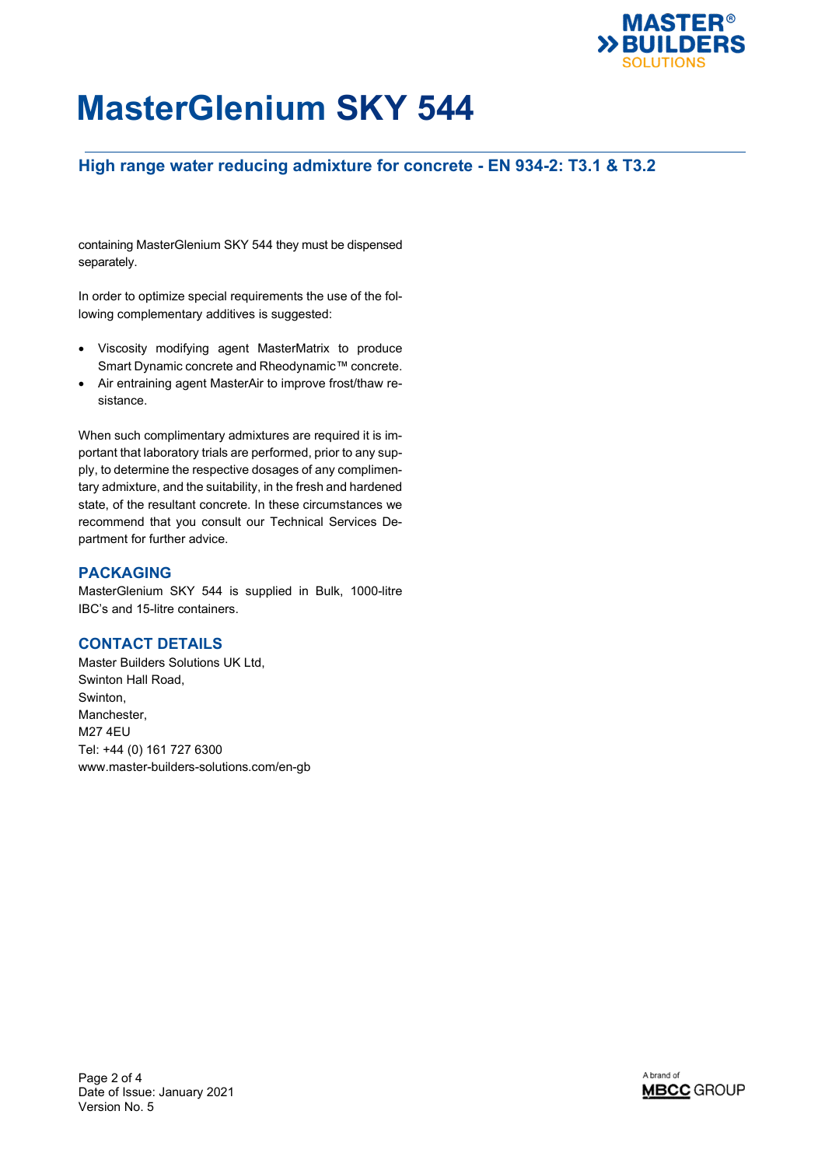

## **High range water reducing admixture for concrete - EN 934-2: T3.1 & T3.2**

containing MasterGlenium SKY 544 they must be dispensed separately.

In order to optimize special requirements the use of the following complementary additives is suggested:

- Viscosity modifying agent MasterMatrix to produce Smart Dynamic concrete and Rheodynamic™ concrete.
- Air entraining agent MasterAir to improve frost/thaw resistance.

When such complimentary admixtures are required it is important that laboratory trials are performed, prior to any supply, to determine the respective dosages of any complimentary admixture, and the suitability, in the fresh and hardened state, of the resultant concrete. In these circumstances we recommend that you consult our Technical Services Department for further advice.

## **PACKAGING**

MasterGlenium SKY 544 is supplied in Bulk, 1000-litre IBC's and 15-litre containers.

## **CONTACT DETAILS**

Master Builders Solutions UK Ltd, Swinton Hall Road, Swinton, Manchester, M27 4EU Tel: +44 (0) 161 727 6300 www.master-builders-solutions.com/en-gb

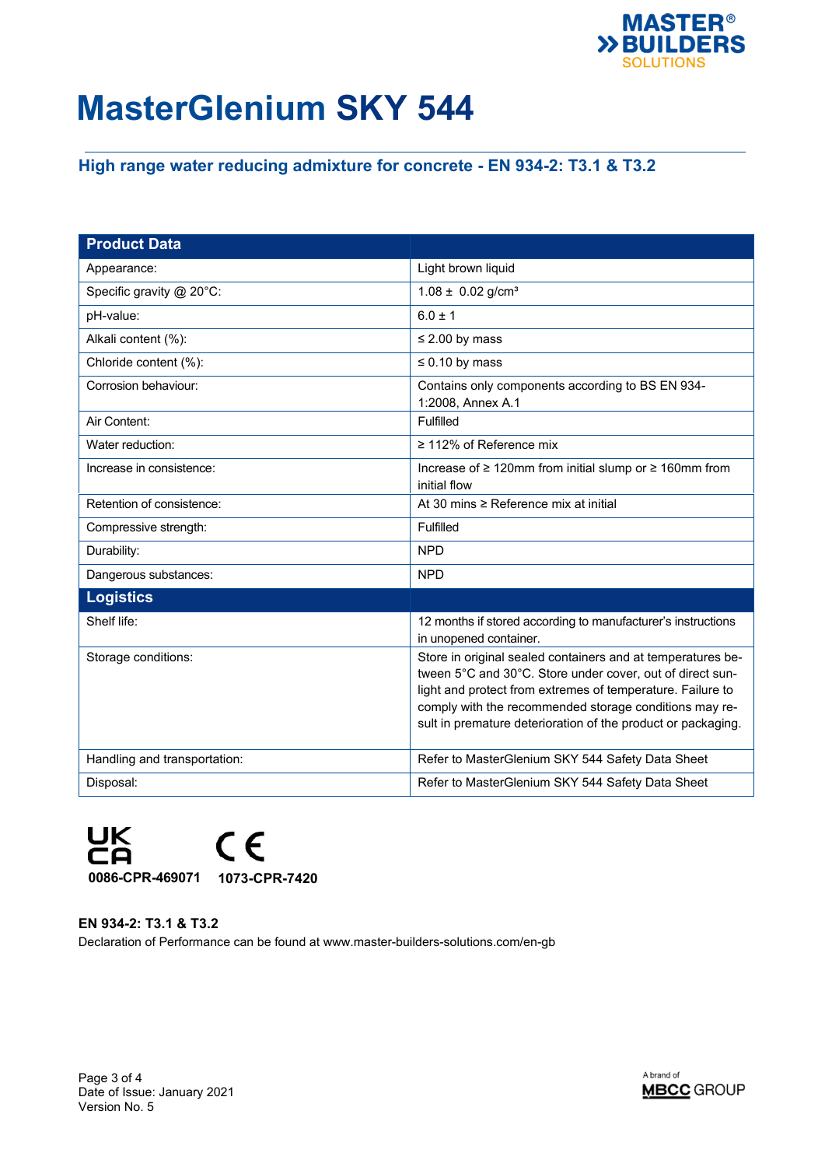

# **High range water reducing admixture for concrete - EN 934-2: T3.1 & T3.2**

| <b>Product Data</b>          |                                                                                                                                                                                                                                                                                                                  |
|------------------------------|------------------------------------------------------------------------------------------------------------------------------------------------------------------------------------------------------------------------------------------------------------------------------------------------------------------|
| Appearance:                  | Light brown liquid                                                                                                                                                                                                                                                                                               |
| Specific gravity @ 20°C:     | $1.08 \pm 0.02$ g/cm <sup>3</sup>                                                                                                                                                                                                                                                                                |
| pH-value:                    | $6.0 \pm 1$                                                                                                                                                                                                                                                                                                      |
| Alkali content (%):          | $\leq$ 2.00 by mass                                                                                                                                                                                                                                                                                              |
| Chloride content (%):        | $\leq 0.10$ by mass                                                                                                                                                                                                                                                                                              |
| Corrosion behaviour:         | Contains only components according to BS EN 934-<br>1:2008, Annex A.1                                                                                                                                                                                                                                            |
| Air Content:                 | Fulfilled                                                                                                                                                                                                                                                                                                        |
| Water reduction:             | $\geq$ 112% of Reference mix                                                                                                                                                                                                                                                                                     |
| Increase in consistence:     | Increase of ≥ 120mm from initial slump or ≥ 160mm from<br>initial flow                                                                                                                                                                                                                                           |
| Retention of consistence:    | At 30 mins ≥ Reference mix at initial                                                                                                                                                                                                                                                                            |
| Compressive strength:        | Fulfilled                                                                                                                                                                                                                                                                                                        |
| Durability:                  | <b>NPD</b>                                                                                                                                                                                                                                                                                                       |
| Dangerous substances:        | <b>NPD</b>                                                                                                                                                                                                                                                                                                       |
| <b>Logistics</b>             |                                                                                                                                                                                                                                                                                                                  |
| Shelf life:                  | 12 months if stored according to manufacturer's instructions<br>in unopened container.                                                                                                                                                                                                                           |
| Storage conditions:          | Store in original sealed containers and at temperatures be-<br>tween 5°C and 30°C. Store under cover, out of direct sun-<br>light and protect from extremes of temperature. Failure to<br>comply with the recommended storage conditions may re-<br>sult in premature deterioration of the product or packaging. |
| Handling and transportation: | Refer to MasterGlenium SKY 544 Safety Data Sheet                                                                                                                                                                                                                                                                 |
| Disposal:                    | Refer to MasterGlenium SKY 544 Safety Data Sheet                                                                                                                                                                                                                                                                 |



**EN 934-2: T3.1 & T3.2** Declaration of Performance can be found at www.master-builders-solutions.com/en-gb